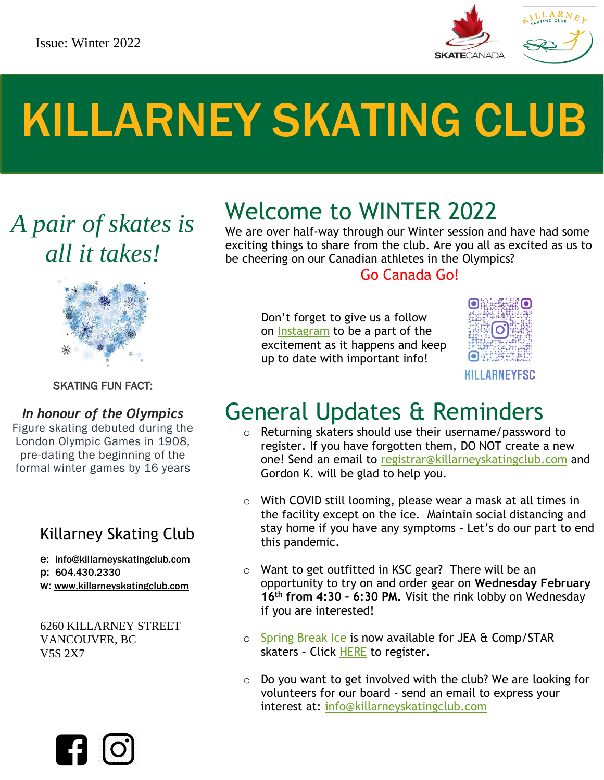

# KILLARNEY SKATING CLUB

*A pair of skates is all it takes!*



### SKATING FUN FACT:

### *In honour of the Olympics*

Figure skating debuted during the London Olympic Games in 1908, pre-dating the beginning of the formal winter games by 16 years

### Killarney Skating Club

e: [info@killarneyskatingclub.com](http://info@killarneyskatingclub.com/)

- p: 604.430.2330
- w: [www.killarneyskatingclub.com](http://www.killarneyskatingclub.com/)

6260 KILLARNEY STREET VANCOUVER, BC V5S 2X7



We are over half-way through our Winter session and have had some exciting things to share from the club. Are you all as excited as us to be cheering on our Canadian athletes in the Olympics?

### Go Canada Go!

 Don't forget to give us a follow on [Instagram](https://www.instagram.com/killarneyfsc/) to be a part of the excitement as it happens and keep up to date with important info!



### General Updates & Reminders

- o Returning skaters should use their username/password to register. If you have forgotten them, DO NOT create a new one! Send an email to [registrar@killarneyskatingclub.com](mailto:registrar@killarneyskatingclub.com) and Gordon K. will be glad to help you.
- $\circ$  With COVID still looming, please wear a mask at all times in the facility except on the ice. Maintain social distancing and stay home if you have any symptoms – Let's do our part to end this pandemic.
- o Want to get outfitted in KSC gear? There will be an opportunity to try on and order gear on **Wednesday February 16th from 4:30 – 6:30 PM.** Visit the rink lobby on Wednesday if you are interested!
- o [Spring Break Ice](https://www.killarneyskatingclub.com/_uploads/_docs/kcfsc-2022-spring-break-ice.pdf) is now available for JEA & Comp/STAR skaters - Click [HERE](https://www.coastregistry.biz/eventregistry/killarney/RegisterFor/303) to register.
- o Do you want to get involved with the club? We are looking for volunteers for our board - send an email to express your interest at: [info@killarneyskatingclub.com](mailto:info@killarneyskatingclub.com)